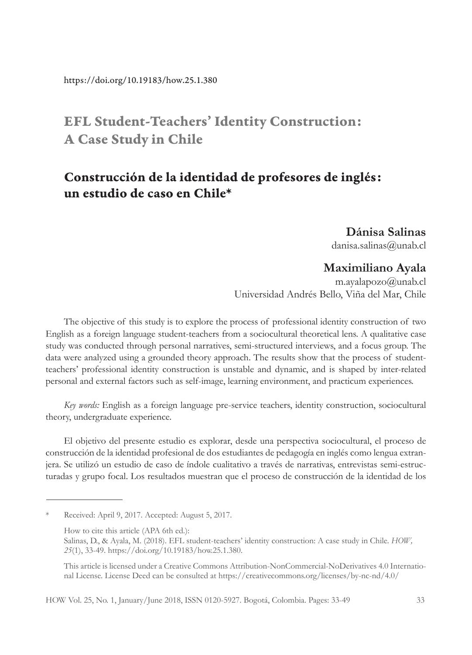# EFL Student-Teachers' Identity Construction: A Case Study in Chile

# Construcción de la identidad de profesores de inglés: un estudio de caso en Chile\*

**Dánisa Salinas** danisa.salinas@unab.cl

### **Maximiliano Ayala**

m.ayalapozo@unab.cl Universidad Andrés Bello, Viña del Mar, Chile

The objective of this study is to explore the process of professional identity construction of two English as a foreign language student-teachers from a sociocultural theoretical lens. A qualitative case study was conducted through personal narratives, semi-structured interviews, and a focus group. The data were analyzed using a grounded theory approach. The results show that the process of studentteachers' professional identity construction is unstable and dynamic, and is shaped by inter-related personal and external factors such as self-image, learning environment, and practicum experiences.

*Key words:* English as a foreign language pre-service teachers, identity construction, sociocultural theory, undergraduate experience.

El objetivo del presente estudio es explorar, desde una perspectiva sociocultural, el proceso de construcción de la identidad profesional de dos estudiantes de pedagogía en inglés como lengua extranjera. Se utilizó un estudio de caso de índole cualitativo a través de narrativas, entrevistas semi-estructuradas y grupo focal. Los resultados muestran que el proceso de construcción de la identidad de los

Received: April 9, 2017. Accepted: August 5, 2017.

How to cite this article (APA 6th ed.):

Salinas, D., & Ayala, M. (2018). EFL student-teachers' identity construction: A case study in Chile. *HOW, 25*(1), 33-49. https://doi.org/10.19183/how.25.1.380.

This article is licensed under a Creative Commons Attribution-NonCommercial-NoDerivatives 4.0 International License. License Deed can be consulted at https://creativecommons.org/licenses/by-nc-nd/4.0/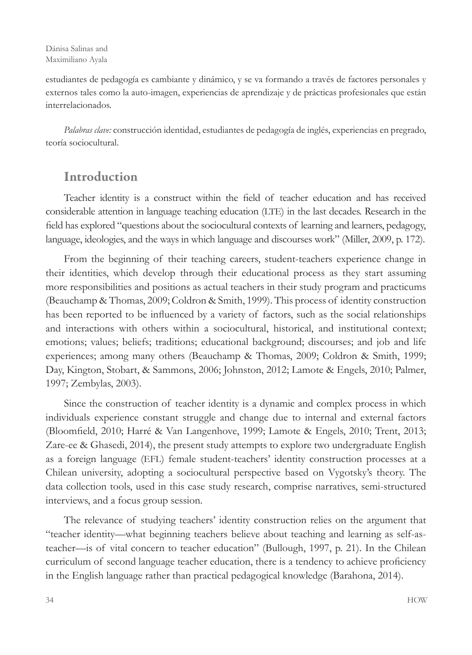estudiantes de pedagogía es cambiante y dinámico, y se va formando a través de factores personales y externos tales como la auto-imagen, experiencias de aprendizaje y de prácticas profesionales que están interrelacionados.

*Palabras clave:* construcción identidad, estudiantes de pedagogía de inglés, experiencias en pregrado, teoría sociocultural.

# Introduction

Teacher identity is a construct within the field of teacher education and has received considerable attention in language teaching education (LTE) in the last decades. Research in the field has explored "questions about the sociocultural contexts of learning and learners, pedagogy, language, ideologies, and the ways in which language and discourses work" (Miller, 2009, p. 172).

From the beginning of their teaching careers, student-teachers experience change in their identities, which develop through their educational process as they start assuming more responsibilities and positions as actual teachers in their study program and practicums (Beauchamp & Thomas, 2009; Coldron & Smith, 1999). This process of identity construction has been reported to be influenced by a variety of factors, such as the social relationships and interactions with others within a sociocultural, historical, and institutional context; emotions; values; beliefs; traditions; educational background; discourses; and job and life experiences; among many others (Beauchamp & Thomas, 2009; Coldron & Smith, 1999; Day, Kington, Stobart, & Sammons, 2006; Johnston, 2012; Lamote & Engels, 2010; Palmer, 1997; Zembylas, 2003).

Since the construction of teacher identity is a dynamic and complex process in which individuals experience constant struggle and change due to internal and external factors (Bloomfield, 2010; Harré & Van Langenhove, 1999; Lamote & Engels, 2010; Trent, 2013; Zare-ee & Ghasedi, 2014), the present study attempts to explore two undergraduate English as a foreign language (EFL) female student-teachers' identity construction processes at a Chilean university, adopting a sociocultural perspective based on Vygotsky's theory. The data collection tools, used in this case study research, comprise narratives, semi-structured interviews, and a focus group session.

The relevance of studying teachers' identity construction relies on the argument that "teacher identity—what beginning teachers believe about teaching and learning as self-asteacher—is of vital concern to teacher education" (Bullough, 1997, p. 21). In the Chilean curriculum of second language teacher education, there is a tendency to achieve proficiency in the English language rather than practical pedagogical knowledge (Barahona, 2014).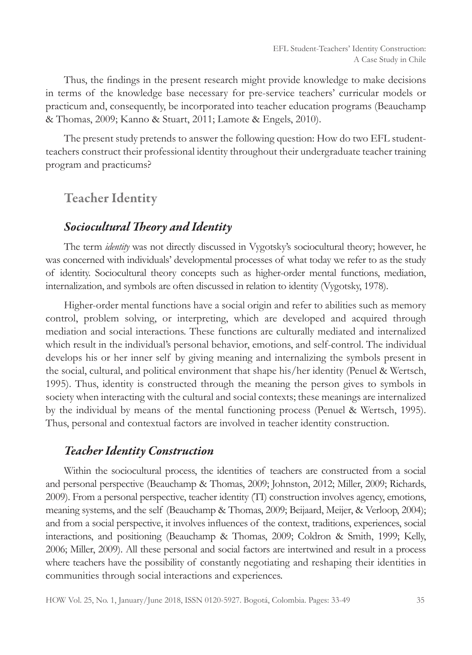Thus, the findings in the present research might provide knowledge to make decisions in terms of the knowledge base necessary for pre-service teachers' curricular models or practicum and, consequently, be incorporated into teacher education programs (Beauchamp & Thomas, 2009; Kanno & Stuart, 2011; Lamote & Engels, 2010).

The present study pretends to answer the following question: How do two EFL studentteachers construct their professional identity throughout their undergraduate teacher training program and practicums?

# Teacher Identity

#### *Sociocultural Theory and Identity*

The term *identity* was not directly discussed in Vygotsky's sociocultural theory; however, he was concerned with individuals' developmental processes of what today we refer to as the study of identity. Sociocultural theory concepts such as higher-order mental functions, mediation, internalization, and symbols are often discussed in relation to identity (Vygotsky, 1978).

Higher-order mental functions have a social origin and refer to abilities such as memory control, problem solving, or interpreting, which are developed and acquired through mediation and social interactions. These functions are culturally mediated and internalized which result in the individual's personal behavior, emotions, and self-control. The individual develops his or her inner self by giving meaning and internalizing the symbols present in the social, cultural, and political environment that shape his/her identity (Penuel & Wertsch, 1995). Thus, identity is constructed through the meaning the person gives to symbols in society when interacting with the cultural and social contexts; these meanings are internalized by the individual by means of the mental functioning process (Penuel & Wertsch, 1995). Thus, personal and contextual factors are involved in teacher identity construction.

### *Teacher Identity Construction*

Within the sociocultural process, the identities of teachers are constructed from a social and personal perspective (Beauchamp & Thomas, 2009; Johnston, 2012; Miller, 2009; Richards, 2009). From a personal perspective, teacher identity (TI) construction involves agency, emotions, meaning systems, and the self (Beauchamp & Thomas, 2009; Beijaard, Meijer, & Verloop, 2004); and from a social perspective, it involves influences of the context, traditions, experiences, social interactions, and positioning (Beauchamp & Thomas, 2009; Coldron & Smith, 1999; Kelly, 2006; Miller, 2009). All these personal and social factors are intertwined and result in a process where teachers have the possibility of constantly negotiating and reshaping their identities in communities through social interactions and experiences.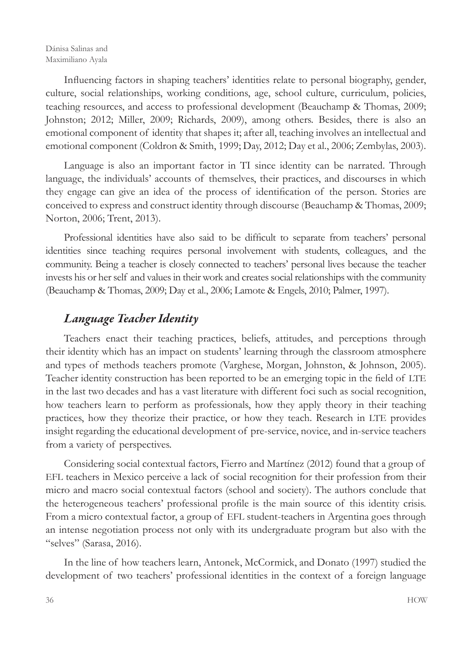Influencing factors in shaping teachers' identities relate to personal biography, gender, culture, social relationships, working conditions, age, school culture, curriculum, policies, teaching resources, and access to professional development (Beauchamp & Thomas, 2009; Johnston; 2012; Miller, 2009; Richards, 2009), among others. Besides, there is also an emotional component of identity that shapes it; after all, teaching involves an intellectual and emotional component (Coldron & Smith, 1999; Day, 2012; Day et al., 2006; Zembylas, 2003).

Language is also an important factor in TI since identity can be narrated. Through language, the individuals' accounts of themselves, their practices, and discourses in which they engage can give an idea of the process of identification of the person. Stories are conceived to express and construct identity through discourse (Beauchamp & Thomas, 2009; Norton, 2006; Trent, 2013).

Professional identities have also said to be difficult to separate from teachers' personal identities since teaching requires personal involvement with students, colleagues, and the community. Being a teacher is closely connected to teachers' personal lives because the teacher invests his or her self and values in their work and creates social relationships with the community (Beauchamp & Thomas, 2009; Day et al., 2006; Lamote & Engels, 2010; Palmer, 1997).

# *Language Teacher Identity*

Teachers enact their teaching practices, beliefs, attitudes, and perceptions through their identity which has an impact on students' learning through the classroom atmosphere and types of methods teachers promote (Varghese, Morgan, Johnston, & Johnson, 2005). Teacher identity construction has been reported to be an emerging topic in the field of LTE in the last two decades and has a vast literature with different foci such as social recognition, how teachers learn to perform as professionals, how they apply theory in their teaching practices, how they theorize their practice, or how they teach. Research in LTE provides insight regarding the educational development of pre-service, novice, and in-service teachers from a variety of perspectives.

Considering social contextual factors, Fierro and Martínez (2012) found that a group of EFL teachers in Mexico perceive a lack of social recognition for their profession from their micro and macro social contextual factors (school and society). The authors conclude that the heterogeneous teachers' professional profile is the main source of this identity crisis. From a micro contextual factor, a group of EFL student-teachers in Argentina goes through an intense negotiation process not only with its undergraduate program but also with the "selves" (Sarasa, 2016).

In the line of how teachers learn, Antonek, McCormick, and Donato (1997) studied the development of two teachers' professional identities in the context of a foreign language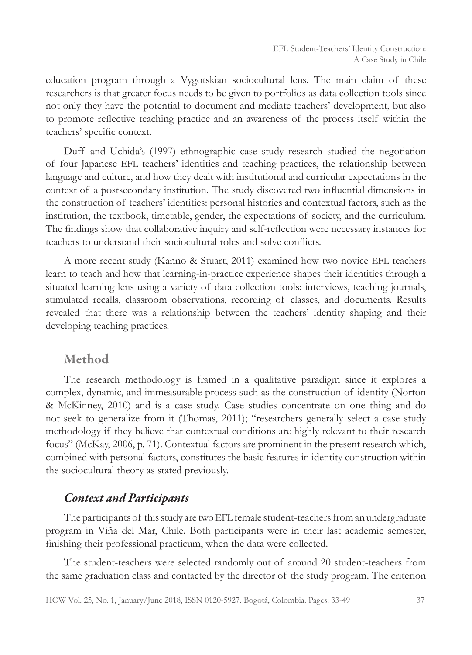education program through a Vygotskian sociocultural lens. The main claim of these researchers is that greater focus needs to be given to portfolios as data collection tools since not only they have the potential to document and mediate teachers' development, but also to promote reflective teaching practice and an awareness of the process itself within the teachers' specific context.

Duff and Uchida's (1997) ethnographic case study research studied the negotiation of four Japanese EFL teachers' identities and teaching practices, the relationship between language and culture, and how they dealt with institutional and curricular expectations in the context of a postsecondary institution. The study discovered two influential dimensions in the construction of teachers' identities: personal histories and contextual factors, such as the institution, the textbook, timetable, gender, the expectations of society, and the curriculum. The findings show that collaborative inquiry and self-reflection were necessary instances for teachers to understand their sociocultural roles and solve conflicts.

A more recent study (Kanno & Stuart, 2011) examined how two novice EFL teachers learn to teach and how that learning-in-practice experience shapes their identities through a situated learning lens using a variety of data collection tools: interviews, teaching journals, stimulated recalls, classroom observations, recording of classes, and documents. Results revealed that there was a relationship between the teachers' identity shaping and their developing teaching practices.

### Method

The research methodology is framed in a qualitative paradigm since it explores a complex, dynamic, and immeasurable process such as the construction of identity (Norton & McKinney, 2010) and is a case study. Case studies concentrate on one thing and do not seek to generalize from it (Thomas, 2011); "researchers generally select a case study methodology if they believe that contextual conditions are highly relevant to their research focus" (McKay, 2006, p. 71). Contextual factors are prominent in the present research which, combined with personal factors, constitutes the basic features in identity construction within the sociocultural theory as stated previously.

#### *Context and Participants*

The participants of this study are two EFL female student-teachers from an undergraduate program in Viña del Mar, Chile. Both participants were in their last academic semester, finishing their professional practicum, when the data were collected.

The student-teachers were selected randomly out of around 20 student-teachers from the same graduation class and contacted by the director of the study program. The criterion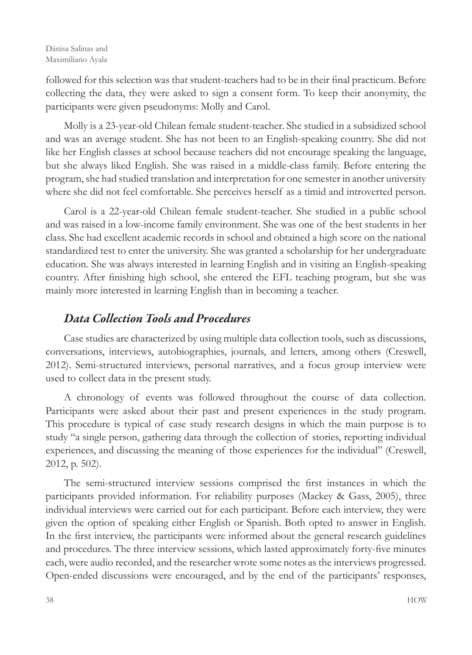followed for this selection was that student-teachers had to be in their final practicum. Before collecting the data, they were asked to sign a consent form. To keep their anonymity, the participants were given pseudonyms: Molly and Carol.

Molly is a 23-year-old Chilean female student-teacher. She studied in a subsidized school and was an average student. She has not been to an English-speaking country. She did not like her English classes at school because teachers did not encourage speaking the language, but she always liked English. She was raised in a middle-class family. Before entering the program, she had studied translation and interpretation for one semester in another university where she did not feel comfortable. She perceives herself as a timid and introverted person.

Carol is a 22-year-old Chilean female student-teacher. She studied in a public school and was raised in a low-income family environment. She was one of the best students in her class. She had excellent academic records in school and obtained a high score on the national standardized test to enter the university. She was granted a scholarship for her undergraduate education. She was always interested in learning English and in visiting an English-speaking country. After finishing high school, she entered the EFL teaching program, but she was mainly more interested in learning English than in becoming a teacher.

# *Data Collection Tools and Procedures*

Case studies are characterized by using multiple data collection tools, such as discussions, conversations, interviews, autobiographies, journals, and letters, among others (Creswell, 2012). Semi-structured interviews, personal narratives, and a focus group interview were used to collect data in the present study.

A chronology of events was followed throughout the course of data collection. Participants were asked about their past and present experiences in the study program. This procedure is typical of case study research designs in which the main purpose is to study "a single person, gathering data through the collection of stories, reporting individual experiences, and discussing the meaning of those experiences for the individual" (Creswell, 2012, p. 502).

The semi-structured interview sessions comprised the first instances in which the participants provided information. For reliability purposes (Mackey & Gass, 2005), three individual interviews were carried out for each participant. Before each interview, they were given the option of speaking either English or Spanish. Both opted to answer in English. In the first interview, the participants were informed about the general research guidelines and procedures. The three interview sessions, which lasted approximately forty-five minutes each, were audio recorded, and the researcher wrote some notes as the interviews progressed. Open-ended discussions were encouraged, and by the end of the participants' responses,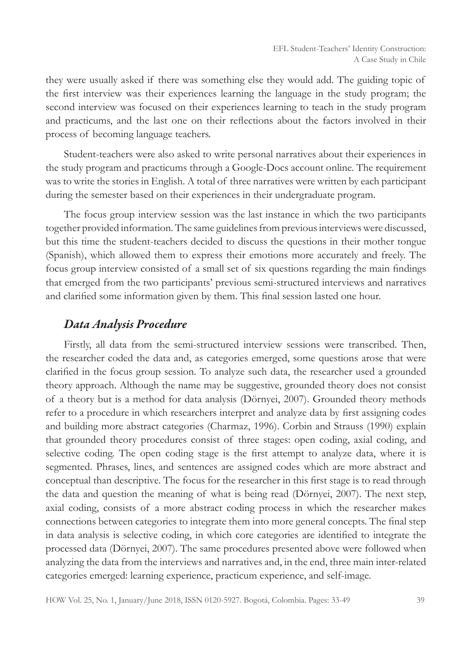they were usually asked if there was something else they would add. The guiding topic of the first interview was their experiences learning the language in the study program; the second interview was focused on their experiences learning to teach in the study program and practicums, and the last one on their reflections about the factors involved in their process of becoming language teachers.

Student-teachers were also asked to write personal narratives about their experiences in the study program and practicums through a Google-Docs account online. The requirement was to write the stories in English. A total of three narratives were written by each participant during the semester based on their experiences in their undergraduate program.

The focus group interview session was the last instance in which the two participants together provided information. The same guidelines from previous interviews were discussed, but this time the student-teachers decided to discuss the questions in their mother tongue (Spanish), which allowed them to express their emotions more accurately and freely. The focus group interview consisted of a small set of six questions regarding the main findings that emerged from the two participants' previous semi-structured interviews and narratives and clarified some information given by them. This final session lasted one hour.

#### *Data Analysis Procedure*

Firstly, all data from the semi-structured interview sessions were transcribed. Then, the researcher coded the data and, as categories emerged, some questions arose that were clarified in the focus group session. To analyze such data, the researcher used a grounded theory approach. Although the name may be suggestive, grounded theory does not consist of a theory but is a method for data analysis (Dörnyei, 2007). Grounded theory methods refer to a procedure in which researchers interpret and analyze data by first assigning codes and building more abstract categories (Charmaz, 1996). Corbin and Strauss (1990) explain that grounded theory procedures consist of three stages: open coding, axial coding, and selective coding. The open coding stage is the first attempt to analyze data, where it is segmented. Phrases, lines, and sentences are assigned codes which are more abstract and conceptual than descriptive. The focus for the researcher in this first stage is to read through the data and question the meaning of what is being read (Dörnyei, 2007). The next step, axial coding, consists of a more abstract coding process in which the researcher makes connections between categories to integrate them into more general concepts. The final step in data analysis is selective coding, in which core categories are identified to integrate the processed data (Dörnyei, 2007). The same procedures presented above were followed when analyzing the data from the interviews and narratives and, in the end, three main inter-related categories emerged: learning experience, practicum experience, and self-image.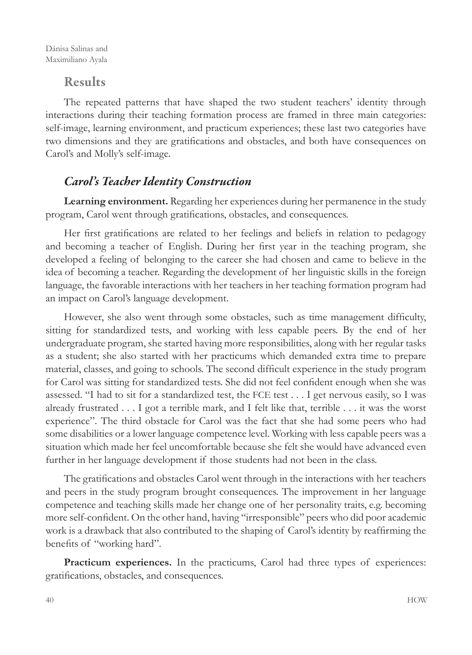### Results

The repeated patterns that have shaped the two student teachers' identity through interactions during their teaching formation process are framed in three main categories: self-image, learning environment, and practicum experiences; these last two categories have two dimensions and they are gratifications and obstacles, and both have consequences on Carol's and Molly's self-image.

# *Carol's Teacher Identity Construction*

**Learning environment.** Regarding her experiences during her permanence in the study program, Carol went through gratifications, obstacles, and consequences.

Her first gratifications are related to her feelings and beliefs in relation to pedagogy and becoming a teacher of English. During her first year in the teaching program, she developed a feeling of belonging to the career she had chosen and came to believe in the idea of becoming a teacher. Regarding the development of her linguistic skills in the foreign language, the favorable interactions with her teachers in her teaching formation program had an impact on Carol's language development.

However, she also went through some obstacles, such as time management difficulty, sitting for standardized tests, and working with less capable peers. By the end of her undergraduate program, she started having more responsibilities, along with her regular tasks as a student; she also started with her practicums which demanded extra time to prepare material, classes, and going to schools. The second difficult experience in the study program for Carol was sitting for standardized tests. She did not feel confident enough when she was assessed. "I had to sit for a standardized test, the FCE test . . . I get nervous easily, so I was already frustrated . . . I got a terrible mark, and I felt like that, terrible . . . it was the worst experience". The third obstacle for Carol was the fact that she had some peers who had some disabilities or a lower language competence level. Working with less capable peers was a situation which made her feel uncomfortable because she felt she would have advanced even further in her language development if those students had not been in the class.

The gratifications and obstacles Carol went through in the interactions with her teachers and peers in the study program brought consequences. The improvement in her language competence and teaching skills made her change one of her personality traits, e.g. becoming more self-confident. On the other hand, having "irresponsible" peers who did poor academic work is a drawback that also contributed to the shaping of Carol's identity by reaffirming the benefits of "working hard".

**Practicum experiences.** In the practicums, Carol had three types of experiences: gratifications, obstacles, and consequences.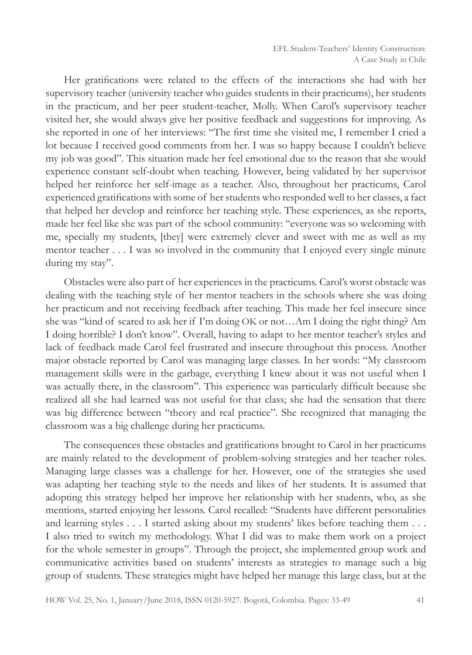Her gratifications were related to the effects of the interactions she had with her supervisory teacher (university teacher who guides students in their practicums), her students in the practicum, and her peer student-teacher, Molly. When Carol's supervisory teacher visited her, she would always give her positive feedback and suggestions for improving. As she reported in one of her interviews: "The first time she visited me, I remember I cried a lot because I received good comments from her. I was so happy because I couldn't believe my job was good". This situation made her feel emotional due to the reason that she would experience constant self-doubt when teaching. However, being validated by her supervisor helped her reinforce her self-image as a teacher. Also, throughout her practicums, Carol experienced gratifications with some of her students who responded well to her classes, a fact that helped her develop and reinforce her teaching style. These experiences, as she reports, made her feel like she was part of the school community: "everyone was so welcoming with me, specially my students, [they] were extremely clever and sweet with me as well as my mentor teacher . . . I was so involved in the community that I enjoyed every single minute during my stay".

Obstacles were also part of her experiences in the practicums. Carol's worst obstacle was dealing with the teaching style of her mentor teachers in the schools where she was doing her practicum and not receiving feedback after teaching. This made her feel insecure since she was "kind of scared to ask her if I'm doing OK or not…Am I doing the right thing? Am I doing horrible? I don't know". Overall, having to adapt to her mentor teacher's styles and lack of feedback made Carol feel frustrated and insecure throughout this process. Another major obstacle reported by Carol was managing large classes. In her words: "My classroom management skills were in the garbage, everything I knew about it was not useful when I was actually there, in the classroom". This experience was particularly difficult because she realized all she had learned was not useful for that class; she had the sensation that there was big difference between "theory and real practice". She recognized that managing the classroom was a big challenge during her practicums.

The consequences these obstacles and gratifications brought to Carol in her practicums are mainly related to the development of problem-solving strategies and her teacher roles. Managing large classes was a challenge for her. However, one of the strategies she used was adapting her teaching style to the needs and likes of her students. It is assumed that adopting this strategy helped her improve her relationship with her students, who, as she mentions, started enjoying her lessons. Carol recalled: "Students have different personalities and learning styles . . . I started asking about my students' likes before teaching them . . . I also tried to switch my methodology. What I did was to make them work on a project for the whole semester in groups". Through the project, she implemented group work and communicative activities based on students' interests as strategies to manage such a big group of students. These strategies might have helped her manage this large class, but at the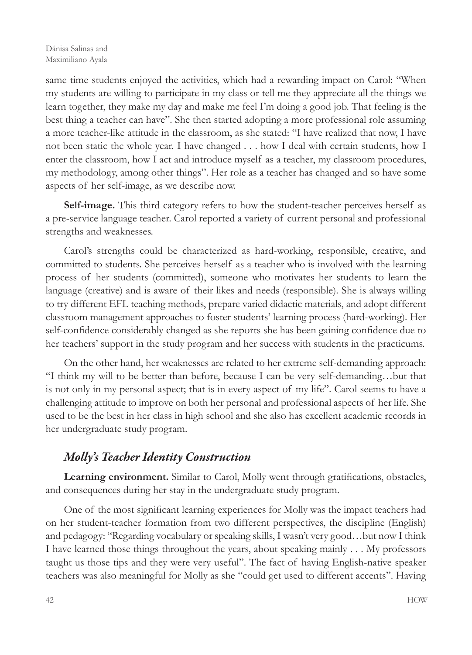same time students enjoyed the activities, which had a rewarding impact on Carol: "When my students are willing to participate in my class or tell me they appreciate all the things we learn together, they make my day and make me feel I'm doing a good job. That feeling is the best thing a teacher can have". She then started adopting a more professional role assuming a more teacher-like attitude in the classroom, as she stated: "I have realized that now, I have not been static the whole year. I have changed . . . how I deal with certain students, how I enter the classroom, how I act and introduce myself as a teacher, my classroom procedures, my methodology, among other things". Her role as a teacher has changed and so have some aspects of her self-image, as we describe now.

**Self-image.** This third category refers to how the student-teacher perceives herself as a pre-service language teacher. Carol reported a variety of current personal and professional strengths and weaknesses.

Carol's strengths could be characterized as hard-working, responsible, creative, and committed to students. She perceives herself as a teacher who is involved with the learning process of her students (committed), someone who motivates her students to learn the language (creative) and is aware of their likes and needs (responsible). She is always willing to try different EFL teaching methods, prepare varied didactic materials, and adopt different classroom management approaches to foster students' learning process (hard-working). Her self-confidence considerably changed as she reports she has been gaining confidence due to her teachers' support in the study program and her success with students in the practicums.

On the other hand, her weaknesses are related to her extreme self-demanding approach: "I think my will to be better than before, because I can be very self-demanding…but that is not only in my personal aspect; that is in every aspect of my life". Carol seems to have a challenging attitude to improve on both her personal and professional aspects of her life. She used to be the best in her class in high school and she also has excellent academic records in her undergraduate study program.

### *Molly's Teacher Identity Construction*

**Learning environment.** Similar to Carol, Molly went through gratifications, obstacles, and consequences during her stay in the undergraduate study program.

One of the most significant learning experiences for Molly was the impact teachers had on her student-teacher formation from two different perspectives, the discipline (English) and pedagogy: "Regarding vocabulary or speaking skills, I wasn't very good…but now I think I have learned those things throughout the years, about speaking mainly . . . My professors taught us those tips and they were very useful". The fact of having English-native speaker teachers was also meaningful for Molly as she "could get used to different accents". Having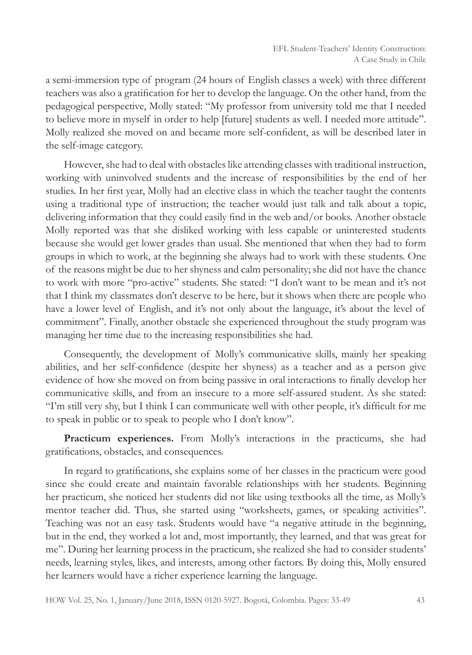a semi-immersion type of program (24 hours of English classes a week) with three different teachers was also a gratification for her to develop the language. On the other hand, from the pedagogical perspective, Molly stated: "My professor from university told me that I needed to believe more in myself in order to help [future] students as well. I needed more attitude". Molly realized she moved on and became more self-confident, as will be described later in the self-image category.

However, she had to deal with obstacles like attending classes with traditional instruction, working with uninvolved students and the increase of responsibilities by the end of her studies. In her first year, Molly had an elective class in which the teacher taught the contents using a traditional type of instruction; the teacher would just talk and talk about a topic, delivering information that they could easily find in the web and/or books. Another obstacle Molly reported was that she disliked working with less capable or uninterested students because she would get lower grades than usual. She mentioned that when they had to form groups in which to work, at the beginning she always had to work with these students. One of the reasons might be due to her shyness and calm personality; she did not have the chance to work with more "pro-active" students. She stated: "I don't want to be mean and it's not that I think my classmates don't deserve to be here, but it shows when there are people who have a lower level of English, and it's not only about the language, it's about the level of commitment". Finally, another obstacle she experienced throughout the study program was managing her time due to the increasing responsibilities she had.

Consequently, the development of Molly's communicative skills, mainly her speaking abilities, and her self-confidence (despite her shyness) as a teacher and as a person give evidence of how she moved on from being passive in oral interactions to finally develop her communicative skills, and from an insecure to a more self-assured student. As she stated: "I'm still very shy, but I think I can communicate well with other people, it's difficult for me to speak in public or to speak to people who I don't know".

**Practicum experiences.** From Molly's interactions in the practicums, she had gratifications, obstacles, and consequences.

In regard to gratifications, she explains some of her classes in the practicum were good since she could create and maintain favorable relationships with her students. Beginning her practicum, she noticed her students did not like using textbooks all the time, as Molly's mentor teacher did. Thus, she started using "worksheets, games, or speaking activities". Teaching was not an easy task. Students would have "a negative attitude in the beginning, but in the end, they worked a lot and, most importantly, they learned, and that was great for me". During her learning process in the practicum, she realized she had to consider students' needs, learning styles, likes, and interests, among other factors. By doing this, Molly ensured her learners would have a richer experience learning the language.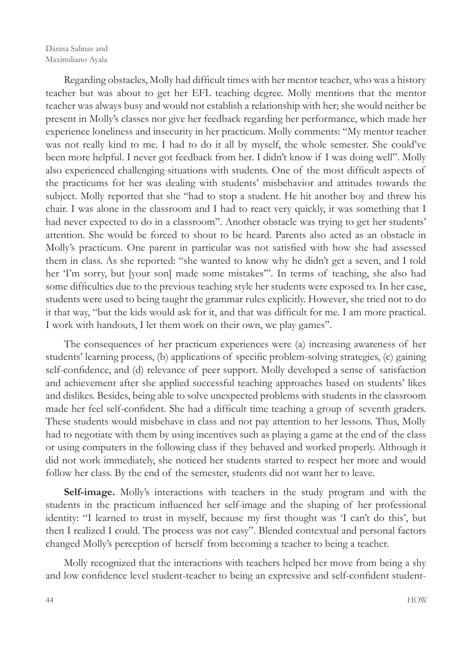Regarding obstacles, Molly had difficult times with her mentor teacher, who was a history teacher but was about to get her EFL teaching degree. Molly mentions that the mentor teacher was always busy and would not establish a relationship with her; she would neither be present in Molly's classes nor give her feedback regarding her performance, which made her experience loneliness and insecurity in her practicum. Molly comments: "My mentor teacher was not really kind to me. I had to do it all by myself, the whole semester. She could've been more helpful. I never got feedback from her. I didn't know if I was doing well". Molly also experienced challenging situations with students. One of the most difficult aspects of the practicums for her was dealing with students' misbehavior and attitudes towards the subject. Molly reported that she "had to stop a student. He hit another boy and threw his chair. I was alone in the classroom and I had to react very quickly, it was something that I had never expected to do in a classroom". Another obstacle was trying to get her students' attention. She would be forced to shout to be heard. Parents also acted as an obstacle in Molly's practicum. One parent in particular was not satisfied with how she had assessed them in class. As she reported: "she wanted to know why he didn't get a seven, and I told her 'I'm sorry, but [your son] made some mistakes'". In terms of teaching, she also had some difficulties due to the previous teaching style her students were exposed to. In her case, students were used to being taught the grammar rules explicitly. However, she tried not to do it that way, "but the kids would ask for it, and that was difficult for me. I am more practical. I work with handouts, I let them work on their own, we play games".

The consequences of her practicum experiences were (a) increasing awareness of her students' learning process, (b) applications of specific problem-solving strategies, (c) gaining self-confidence, and (d) relevance of peer support. Molly developed a sense of satisfaction and achievement after she applied successful teaching approaches based on students' likes and dislikes. Besides, being able to solve unexpected problems with students in the classroom made her feel self-confident. She had a difficult time teaching a group of seventh graders. These students would misbehave in class and not pay attention to her lessons. Thus, Molly had to negotiate with them by using incentives such as playing a game at the end of the class or using computers in the following class if they behaved and worked properly. Although it did not work immediately, she noticed her students started to respect her more and would follow her class. By the end of the semester, students did not want her to leave.

**Self-image.** Molly's interactions with teachers in the study program and with the students in the practicum influenced her self-image and the shaping of her professional identity: "I learned to trust in myself, because my first thought was 'I can't do this', but then I realized I could. The process was not easy". Blended contextual and personal factors changed Molly's perception of herself from becoming a teacher to being a teacher.

Molly recognized that the interactions with teachers helped her move from being a shy and low confidence level student-teacher to being an expressive and self-confident student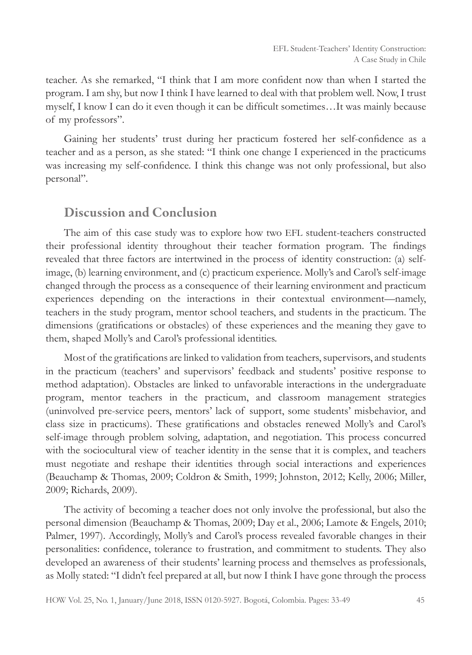teacher. As she remarked, "I think that I am more confident now than when I started the program. I am shy, but now I think I have learned to deal with that problem well. Now, I trust myself, I know I can do it even though it can be difficult sometimes…It was mainly because of my professors".

Gaining her students' trust during her practicum fostered her self-confidence as a teacher and as a person, as she stated: "I think one change I experienced in the practicums was increasing my self-confidence. I think this change was not only professional, but also personal".

### Discussion and Conclusion

The aim of this case study was to explore how two EFL student-teachers constructed their professional identity throughout their teacher formation program. The findings revealed that three factors are intertwined in the process of identity construction: (a) selfimage, (b) learning environment, and (c) practicum experience. Molly's and Carol's self-image changed through the process as a consequence of their learning environment and practicum experiences depending on the interactions in their contextual environment—namely, teachers in the study program, mentor school teachers, and students in the practicum. The dimensions (gratifications or obstacles) of these experiences and the meaning they gave to them, shaped Molly's and Carol's professional identities.

Most of the gratifications are linked to validation from teachers, supervisors, and students in the practicum (teachers' and supervisors' feedback and students' positive response to method adaptation). Obstacles are linked to unfavorable interactions in the undergraduate program, mentor teachers in the practicum, and classroom management strategies (uninvolved pre-service peers, mentors' lack of support, some students' misbehavior, and class size in practicums). These gratifications and obstacles renewed Molly's and Carol's self-image through problem solving, adaptation, and negotiation. This process concurred with the sociocultural view of teacher identity in the sense that it is complex, and teachers must negotiate and reshape their identities through social interactions and experiences (Beauchamp & Thomas, 2009; Coldron & Smith, 1999; Johnston, 2012; Kelly, 2006; Miller, 2009; Richards, 2009).

The activity of becoming a teacher does not only involve the professional, but also the personal dimension (Beauchamp & Thomas, 2009; Day et al., 2006; Lamote & Engels, 2010; Palmer, 1997). Accordingly, Molly's and Carol's process revealed favorable changes in their personalities: confidence, tolerance to frustration, and commitment to students. They also developed an awareness of their students' learning process and themselves as professionals, as Molly stated: "I didn't feel prepared at all, but now I think I have gone through the process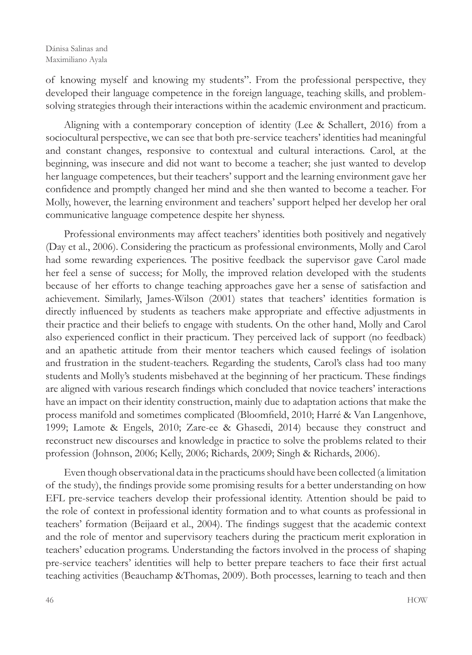of knowing myself and knowing my students". From the professional perspective, they developed their language competence in the foreign language, teaching skills, and problemsolving strategies through their interactions within the academic environment and practicum.

Aligning with a contemporary conception of identity (Lee & Schallert, 2016) from a sociocultural perspective, we can see that both pre-service teachers' identities had meaningful and constant changes, responsive to contextual and cultural interactions. Carol, at the beginning, was insecure and did not want to become a teacher; she just wanted to develop her language competences, but their teachers' support and the learning environment gave her confidence and promptly changed her mind and she then wanted to become a teacher. For Molly, however, the learning environment and teachers' support helped her develop her oral communicative language competence despite her shyness.

Professional environments may affect teachers' identities both positively and negatively (Day et al., 2006). Considering the practicum as professional environments, Molly and Carol had some rewarding experiences. The positive feedback the supervisor gave Carol made her feel a sense of success; for Molly, the improved relation developed with the students because of her efforts to change teaching approaches gave her a sense of satisfaction and achievement. Similarly, James-Wilson (2001) states that teachers' identities formation is directly influenced by students as teachers make appropriate and effective adjustments in their practice and their beliefs to engage with students. On the other hand, Molly and Carol also experienced conflict in their practicum. They perceived lack of support (no feedback) and an apathetic attitude from their mentor teachers which caused feelings of isolation and frustration in the student-teachers. Regarding the students, Carol's class had too many students and Molly's students misbehaved at the beginning of her practicum. These findings are aligned with various research findings which concluded that novice teachers' interactions have an impact on their identity construction, mainly due to adaptation actions that make the process manifold and sometimes complicated (Bloomfield, 2010; Harré & Van Langenhove, 1999; Lamote & Engels, 2010; Zare-ee & Ghasedi, 2014) because they construct and reconstruct new discourses and knowledge in practice to solve the problems related to their profession (Johnson, 2006; Kelly, 2006; Richards, 2009; Singh & Richards, 2006).

Even though observational data in the practicums should have been collected (a limitation of the study), the findings provide some promising results for a better understanding on how EFL pre-service teachers develop their professional identity. Attention should be paid to the role of context in professional identity formation and to what counts as professional in teachers' formation (Beijaard et al., 2004). The findings suggest that the academic context and the role of mentor and supervisory teachers during the practicum merit exploration in teachers' education programs. Understanding the factors involved in the process of shaping pre-service teachers' identities will help to better prepare teachers to face their first actual teaching activities (Beauchamp &Thomas, 2009). Both processes, learning to teach and then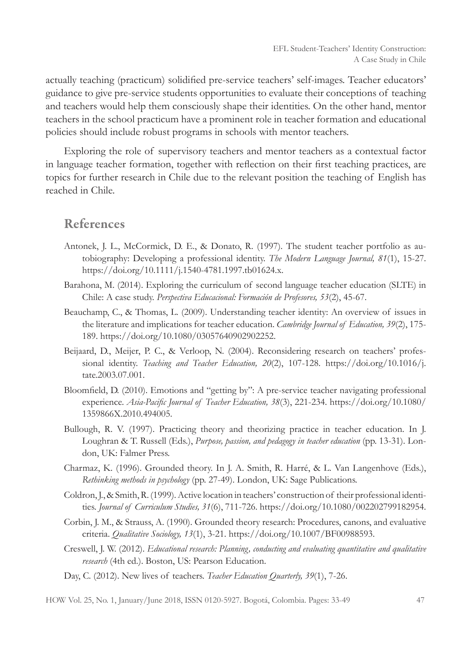actually teaching (practicum) solidified pre-service teachers' self-images. Teacher educators' guidance to give pre-service students opportunities to evaluate their conceptions of teaching and teachers would help them consciously shape their identities. On the other hand, mentor teachers in the school practicum have a prominent role in teacher formation and educational policies should include robust programs in schools with mentor teachers.

Exploring the role of supervisory teachers and mentor teachers as a contextual factor in language teacher formation, together with reflection on their first teaching practices, are topics for further research in Chile due to the relevant position the teaching of English has reached in Chile.

#### References

- Antonek, J. L., McCormick, D. E., & Donato, R. (1997). The student teacher portfolio as autobiography: Developing a professional identity. *The Modern Language Journal, 81*(1), 15-27. https://doi.org/10.1111/j.1540-4781.1997.tb01624.x.
- Barahona, M. (2014). Exploring the curriculum of second language teacher education (SLTE) in Chile: A case study. *Perspectiva Educacional: Formación de Profesores, 53*(2), 45-67.
- Beauchamp, C., & Thomas, L. (2009). Understanding teacher identity: An overview of issues in the literature and implications for teacher education. *Cambridge Journal of Education, 39*(2), 175- 189. https://doi.org/10.1080/03057640902902252.
- Beijaard, D., Meijer, P. C., & Verloop, N. (2004). Reconsidering research on teachers' professional identity. *Teaching and Teacher Education, 20*(2), 107-128. https://doi.org/10.1016/j. tate.2003.07.001.
- Bloomfield, D. (2010). Emotions and "getting by": A pre-service teacher navigating professional experience. *Asia-Pacific Journal of Teacher Education, 38*(3), 221-234. https://doi.org/10.1080/ 1359866X.2010.494005.
- Bullough, R. V. (1997). Practicing theory and theorizing practice in teacher education. In J. Loughran & T. Russell (Eds.), *Purpose, passion, and pedagogy in teacher education* (pp. 13-31). London, UK: Falmer Press.
- Charmaz, K. (1996). Grounded theory. In J. A. Smith, R. Harré, & L. Van Langenhove (Eds.), *Rethinking methods in psychology* (pp. 27-49). London, UK: Sage Publications.
- Coldron, J., & Smith, R. (1999). Active location in teachers' construction of their professional identities. *Journal of Curriculum Studies, 31*(6), 711-726. https://doi.org/10.1080/002202799182954.
- Corbin, J. M., & Strauss, A. (1990). Grounded theory research: Procedures, canons, and evaluative criteria. *Qualitative Sociology, 13*(1), 3-21. https://doi.org/10.1007/BF00988593.
- Creswell, J. W. (2012). *Educational research: Planning, conducting and evaluating quantitative and qualitative research* (4th ed.). Boston, US: Pearson Education.
- Day, C. (2012). New lives of teachers. *Teacher Education Quarterly, 39*(1), 7-26.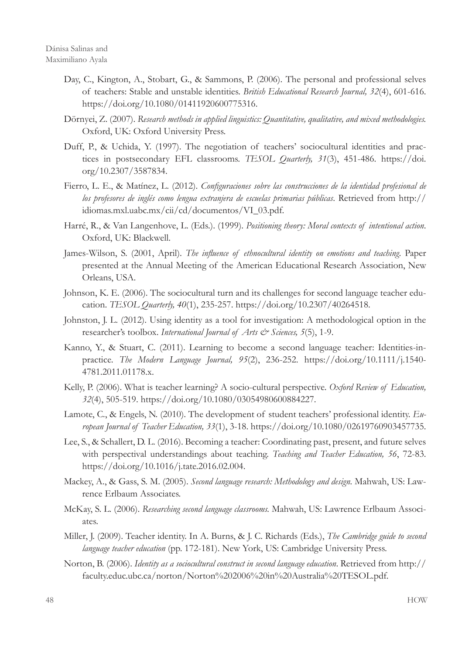- Day, C., Kington, A., Stobart, G., & Sammons, P. (2006). The personal and professional selves of teachers: Stable and unstable identities. *British Educational Research Journal, 32*(4), 601-616. https://doi.org/10.1080/01411920600775316.
- Dörnyei, Z. (2007). *Research methods in applied linguistics: Quantitative, qualitative, and mixed methodologies.* Oxford, UK: Oxford University Press.
- Duff, P., & Uchida, Y. (1997). The negotiation of teachers' sociocultural identities and practices in postsecondary EFL classrooms. *TESOL Quarterly, 31*(3), 451-486. https://doi. org/10.2307/3587834.
- Fierro, L. E., & Matínez, L. (2012). *Configuraciones sobre las construcciones de la identidad profesional de los profesores de inglés como lengua extranjera de escuelas primarias públicas*. Retrieved from http:// idiomas.mxl.uabc.mx/cii/cd/documentos/VI\_03.pdf.
- Harré, R., & Van Langenhove, L. (Eds.). (1999). *Positioning theory: Moral contexts of intentional action*. Oxford, UK: Blackwell.
- James-Wilson, S. (2001, April). *The influence of ethnocultural identity on emotions and teaching*. Paper presented at the Annual Meeting of the American Educational Research Association, New Orleans, USA.
- Johnson, K. E. (2006). The sociocultural turn and its challenges for second language teacher education. *TESOL Quarterly, 40*(1), 235-257. https://doi.org/10.2307/40264518.
- Johnston, J. L. (2012). Using identity as a tool for investigation: A methodological option in the researcher's toolbox. *International Journal of Arts & Sciences*, 5(5), 1-9.
- Kanno, Y., & Stuart, C. (2011). Learning to become a second language teacher: Identities-inpractice. *The Modern Language Journal, 95*(2), 236-252. https://doi.org/10.1111/j.1540- 4781.2011.01178.x.
- Kelly, P. (2006). What is teacher learning? A socio-cultural perspective. *Oxford Review of Education, 32*(4), 505-519. https://doi.org/10.1080/03054980600884227.
- Lamote, C., & Engels, N. (2010). The development of student teachers' professional identity. *European Journal of Teacher Education, 33*(1), 3-18. https://doi.org/10.1080/02619760903457735.
- Lee, S., & Schallert, D. L. (2016). Becoming a teacher: Coordinating past, present, and future selves with perspectival understandings about teaching. *Teaching and Teacher Education, 56*, 72-83. https://doi.org/10.1016/j.tate.2016.02.004.
- Mackey, A., & Gass, S. M. (2005). *Second language research: Methodology and design.* Mahwah, US: Lawrence Erlbaum Associates.
- McKay, S. L. (2006). *Researching second language classrooms.* Mahwah, US: Lawrence Erlbaum Associates.
- Miller, J. (2009). Teacher identity. In A. Burns, & J. C. Richards (Eds.), *The Cambridge guide to second language teacher education* (pp. 172-181). New York, US: Cambridge University Press.
- Norton, B. (2006). *Identity as a sociocultural construct in second language education*. Retrieved from http:// faculty.educ.ubc.ca/norton/Norton%202006%20in%20Australia%20TESOL.pdf.